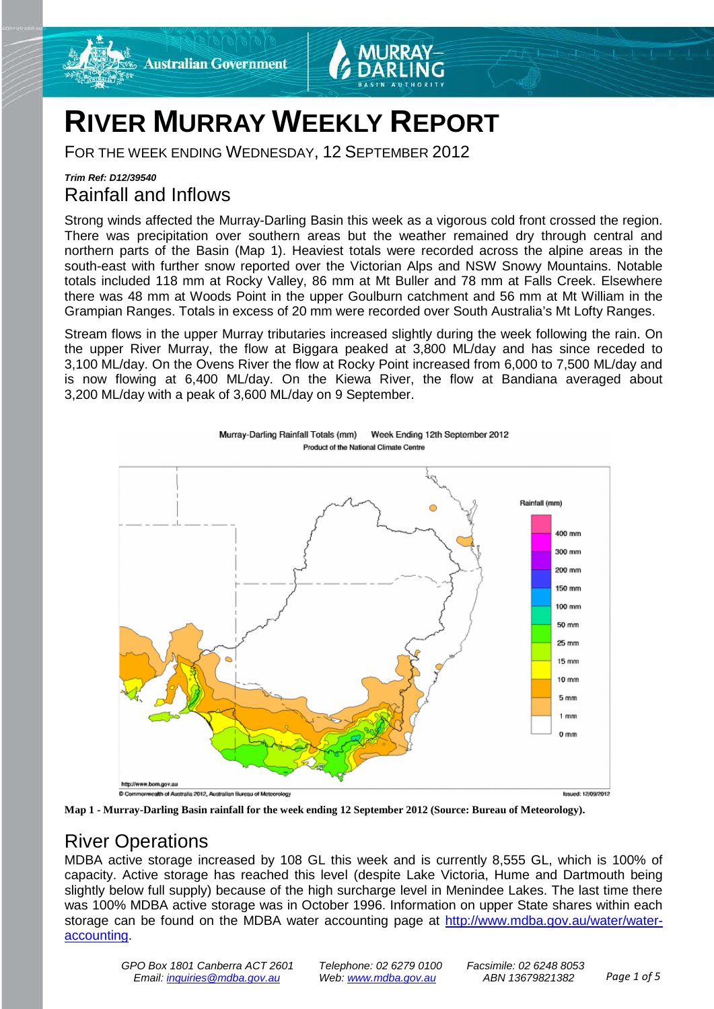



## **RIVER MURRAY WEEKLY REPORT**

FOR THE WEEK ENDING WEDNESDAY, 12 SEPTEMBER 2012

## *Trim Ref: D12/39540* Rainfall and Inflows

Strong winds affected the Murray-Darling Basin this week as a vigorous cold front crossed the region. There was precipitation over southern areas but the weather remained dry through central and northern parts of the Basin (Map 1). Heaviest totals were recorded across the alpine areas in the south-east with further snow reported over the Victorian Alps and NSW Snowy Mountains. Notable totals included 118 mm at Rocky Valley, 86 mm at Mt Buller and 78 mm at Falls Creek. Elsewhere there was 48 mm at Woods Point in the upper Goulburn catchment and 56 mm at Mt William in the Grampian Ranges. Totals in excess of 20 mm were recorded over South Australia's Mt Lofty Ranges.

Stream flows in the upper Murray tributaries increased slightly during the week following the rain. On the upper River Murray, the flow at Biggara peaked at 3,800 ML/day and has since receded to 3,100 ML/day. On the Ovens River the flow at Rocky Point increased from 6,000 to 7,500 ML/day and is now flowing at 6,400 ML/day. On the Kiewa River, the flow at Bandiana averaged about 3,200 ML/day with a peak of 3,600 ML/day on 9 September.





## River Operations

MDBA active storage increased by 108 GL this week and is currently 8,555 GL, which is 100% of capacity. Active storage has reached this level (despite Lake Victoria, Hume and Dartmouth being slightly below full supply) because of the high surcharge level in Menindee Lakes. The last time there was 100% MDBA active storage was in October 1996. Information on upper State shares within each storage can be found on the MDBA water accounting page at [http://www.mdba.gov.au/water/water](http://www.mdba.gov.au/water/water-accounting)[accounting.](http://www.mdba.gov.au/water/water-accounting)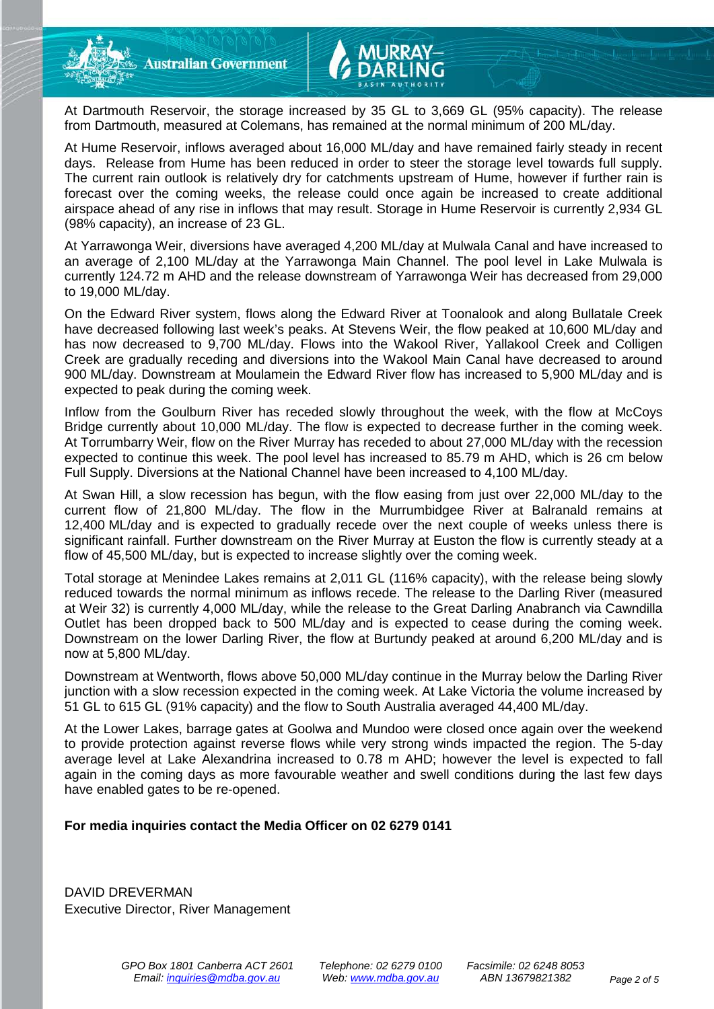At Dartmouth Reservoir, the storage increased by 35 GL to 3,669 GL (95% capacity). The release from Dartmouth, measured at Colemans, has remained at the normal minimum of 200 ML/day.

At Hume Reservoir, inflows averaged about 16,000 ML/day and have remained fairly steady in recent days. Release from Hume has been reduced in order to steer the storage level towards full supply. The current rain outlook is relatively dry for catchments upstream of Hume, however if further rain is forecast over the coming weeks, the release could once again be increased to create additional airspace ahead of any rise in inflows that may result. Storage in Hume Reservoir is currently 2,934 GL (98% capacity), an increase of 23 GL.

At Yarrawonga Weir, diversions have averaged 4,200 ML/day at Mulwala Canal and have increased to an average of 2,100 ML/day at the Yarrawonga Main Channel. The pool level in Lake Mulwala is currently 124.72 m AHD and the release downstream of Yarrawonga Weir has decreased from 29,000 to 19,000 ML/day.

On the Edward River system, flows along the Edward River at Toonalook and along Bullatale Creek have decreased following last week's peaks. At Stevens Weir, the flow peaked at 10,600 ML/day and has now decreased to 9,700 ML/day. Flows into the Wakool River, Yallakool Creek and Colligen Creek are gradually receding and diversions into the Wakool Main Canal have decreased to around 900 ML/day. Downstream at Moulamein the Edward River flow has increased to 5,900 ML/day and is expected to peak during the coming week.

Inflow from the Goulburn River has receded slowly throughout the week, with the flow at McCoys Bridge currently about 10,000 ML/day. The flow is expected to decrease further in the coming week. At Torrumbarry Weir, flow on the River Murray has receded to about 27,000 ML/day with the recession expected to continue this week. The pool level has increased to 85.79 m AHD, which is 26 cm below Full Supply. Diversions at the National Channel have been increased to 4,100 ML/day.

At Swan Hill, a slow recession has begun, with the flow easing from just over 22,000 ML/day to the current flow of 21,800 ML/day. The flow in the Murrumbidgee River at Balranald remains at 12,400 ML/day and is expected to gradually recede over the next couple of weeks unless there is significant rainfall. Further downstream on the River Murray at Euston the flow is currently steady at a flow of 45,500 ML/day, but is expected to increase slightly over the coming week.

Total storage at Menindee Lakes remains at 2,011 GL (116% capacity), with the release being slowly reduced towards the normal minimum as inflows recede. The release to the Darling River (measured at Weir 32) is currently 4,000 ML/day, while the release to the Great Darling Anabranch via Cawndilla Outlet has been dropped back to 500 ML/day and is expected to cease during the coming week. Downstream on the lower Darling River, the flow at Burtundy peaked at around 6,200 ML/day and is now at 5,800 ML/day.

Downstream at Wentworth, flows above 50,000 ML/day continue in the Murray below the Darling River junction with a slow recession expected in the coming week. At Lake Victoria the volume increased by 51 GL to 615 GL (91% capacity) and the flow to South Australia averaged 44,400 ML/day.

At the Lower Lakes, barrage gates at Goolwa and Mundoo were closed once again over the weekend to provide protection against reverse flows while very strong winds impacted the region. The 5-day average level at Lake Alexandrina increased to 0.78 m AHD; however the level is expected to fall again in the coming days as more favourable weather and swell conditions during the last few days have enabled gates to be re-opened.

### **For media inquiries contact the Media Officer on 02 6279 0141**

DAVID DREVERMAN Executive Director, River Management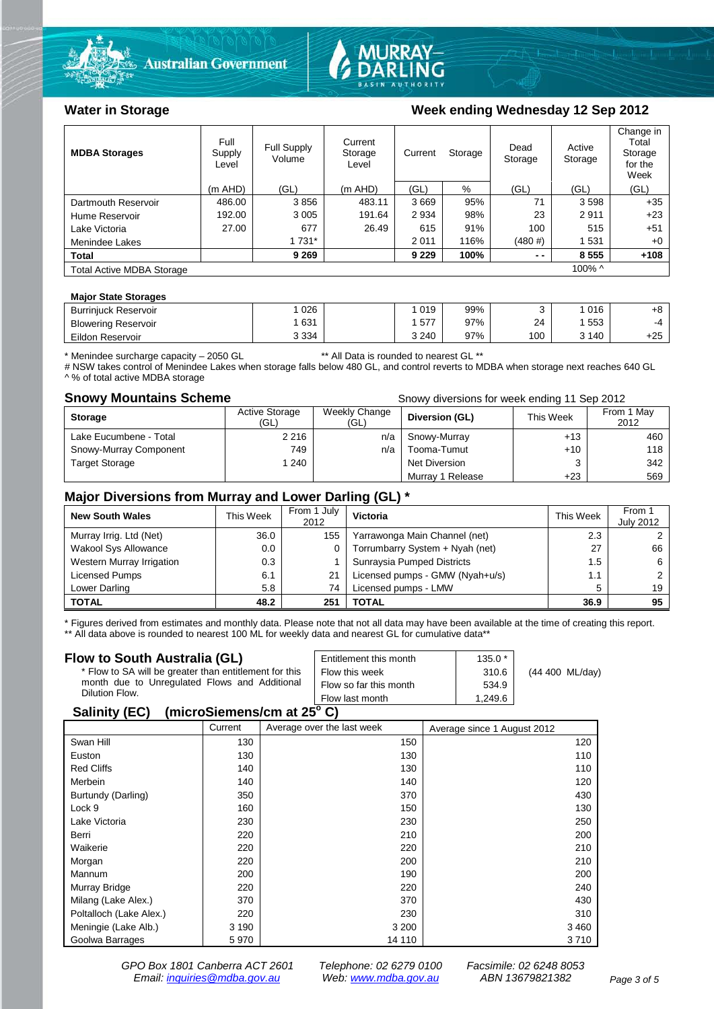



### Water in Storage Week ending Wednesday 12 Sep 2012

| <b>MDBA Storages</b>             | Full<br>Supply<br>Level | Full Supply<br>Volume | Current<br>Storage<br>Level | Current | Storage | Dead<br>Storage | Active<br>Storage | Change in<br>Total<br>Storage<br>for the<br>Week |
|----------------------------------|-------------------------|-----------------------|-----------------------------|---------|---------|-----------------|-------------------|--------------------------------------------------|
|                                  | $(m$ AHD)               | (GL)                  | (m AHD)                     | (GL)    | %       | (GL)            | (GL)              | (GL)                                             |
| Dartmouth Reservoir              | 486.00                  | 3856                  | 483.11                      | 3669    | 95%     | 71              | 3598              | $+35$                                            |
| Hume Reservoir                   | 192.00                  | 3 0 0 5               | 191.64                      | 2 9 3 4 | 98%     | 23              | 2911              | $+23$                                            |
| Lake Victoria                    | 27.00                   | 677                   | 26.49                       | 615     | 91%     | 100             | 515               | $+51$                                            |
| Menindee Lakes                   |                         | 1 731*                |                             | 2 0 1 1 | 116%    | (480#)          | 1531              | $+0$                                             |
| <b>Total</b>                     |                         | 9 2 6 9               |                             | 9 2 2 9 | 100%    | $ -$            | 8555              | $+108$                                           |
| <b>Total Active MDBA Storage</b> |                         |                       |                             |         |         |                 | 100% ^            |                                                  |

### **Major State Storages**

| <b>Burrinjuck Reservoir</b> | 026     | 019     | 99% |     | 016   | +8    |
|-----------------------------|---------|---------|-----|-----|-------|-------|
| <b>Blowering Reservoir</b>  | 631     | 577     | 97% | 24  | 553   | -4    |
| Eildon Reservoir            | 3 3 3 4 | 3 2 4 0 | 97% | 100 | 3 140 | $+25$ |

\* Menindee surcharge capacity – 2050 GL \*\* All Data is rounded to nearest GL \*\*

# NSW takes control of Menindee Lakes when storage falls below 480 GL, and control reverts to MDBA when storage next reaches 640 GL A % of total active MDBA storage

**Snowy Mountains Scheme Snowy diversions for week ending 11 Sep 2012** 

| <b>Storage</b>         | Active Storage<br>(GL) | Weekly Change<br>(GL) | Diversion (GL)   | This Week | From 1 May<br>2012 |
|------------------------|------------------------|-----------------------|------------------|-----------|--------------------|
| Lake Eucumbene - Total | 2 2 1 6                | n/a                   | Snowy-Murray     | $+13$     | 460                |
| Snowy-Murray Component | 749                    | n/a                   | Tooma-Tumut      | $+10$     | 118                |
| <b>Target Storage</b>  | 1 240                  |                       | Net Diversion    |           | 342                |
|                        |                        |                       | Murray 1 Release | $+23$     | 569                |

### **Major Diversions from Murray and Lower Darling (GL) \***

| <b>New South Wales</b>    | This Week | From 1 July<br>2012 | Victoria                        | This Week | From 1<br><b>July 2012</b> |
|---------------------------|-----------|---------------------|---------------------------------|-----------|----------------------------|
| Murray Irrig. Ltd (Net)   | 36.0      | 155                 | Yarrawonga Main Channel (net)   | 2.3       |                            |
| Wakool Sys Allowance      | 0.0       |                     | Torrumbarry System + Nyah (net) | 27        | 66                         |
| Western Murray Irrigation | 0.3       |                     | Sunraysia Pumped Districts      | 1.5       | 6                          |
| Licensed Pumps            | 6.1       | 21                  | Licensed pumps - GMW (Nyah+u/s) | 1.1       |                            |
| Lower Darling             | 5.8       | 74                  | Licensed pumps - LMW            | 5         | 19                         |
| <b>TOTAL</b>              | 48.2      | 251                 | TOTAL                           | 36.9      | 95                         |

\* Figures derived from estimates and monthly data. Please note that not all data may have been available at the time of creating this report.

\*\* All data above is rounded to nearest 100 ML for weekly data and nearest GL for cumulative data\*\*

| Flow to South Australia (GL)                              | Entitlement this month | $135.0*$ |                 |  |  |
|-----------------------------------------------------------|------------------------|----------|-----------------|--|--|
| * Flow to SA will be greater than entitlement for this    | Flow this week         | 310.6    | (44 400 ML/day) |  |  |
| month due to Unregulated Flows and Additional             | Flow so far this month | 534.9    |                 |  |  |
| Dilution Flow.                                            | Flow last month        | 1.249.6  |                 |  |  |
| $\mathbf{A}$ , $\mathbf{B}$ , $\mathbf{A}$ , $\mathbf{B}$ |                        |          |                 |  |  |

### **Salinity (EC) (microSiemens/cm at 25o C)**

|                         | Current | Average over the last week | Average since 1 August 2012 |
|-------------------------|---------|----------------------------|-----------------------------|
| Swan Hill               | 130     | 150                        | 120                         |
| Euston                  | 130     | 130                        | 110                         |
| <b>Red Cliffs</b>       | 140     | 130                        | 110                         |
| Merbein                 | 140     | 140                        | 120                         |
| Burtundy (Darling)      | 350     | 370                        | 430                         |
| Lock 9                  | 160     | 150                        | 130                         |
| Lake Victoria           | 230     | 230                        | 250                         |
| Berri                   | 220     | 210                        | 200                         |
| Waikerie                | 220     | 220                        | 210                         |
| Morgan                  | 220     | 200                        | 210                         |
| Mannum                  | 200     | 190                        | 200                         |
| Murray Bridge           | 220     | 220                        | 240                         |
| Milang (Lake Alex.)     | 370     | 370                        | 430                         |
| Poltalloch (Lake Alex.) | 220     | 230                        | 310                         |
| Meningie (Lake Alb.)    | 3 1 9 0 | 3 2 0 0                    | 3460                        |
| Goolwa Barrages         | 5970    | 14 110                     | 3710                        |

*GPO Box 1801 Canberra ACT 2601 Telephone: 02 6279 0100 Facsimile: 02 6248 8053 Email: [inquiries@mdba.gov.au](mailto:inquiries@mdba.gov.au) Web: [www.mdba.gov.au](http://www.mdba.gov.au/) ABN 13679821382 Page 3 of 5*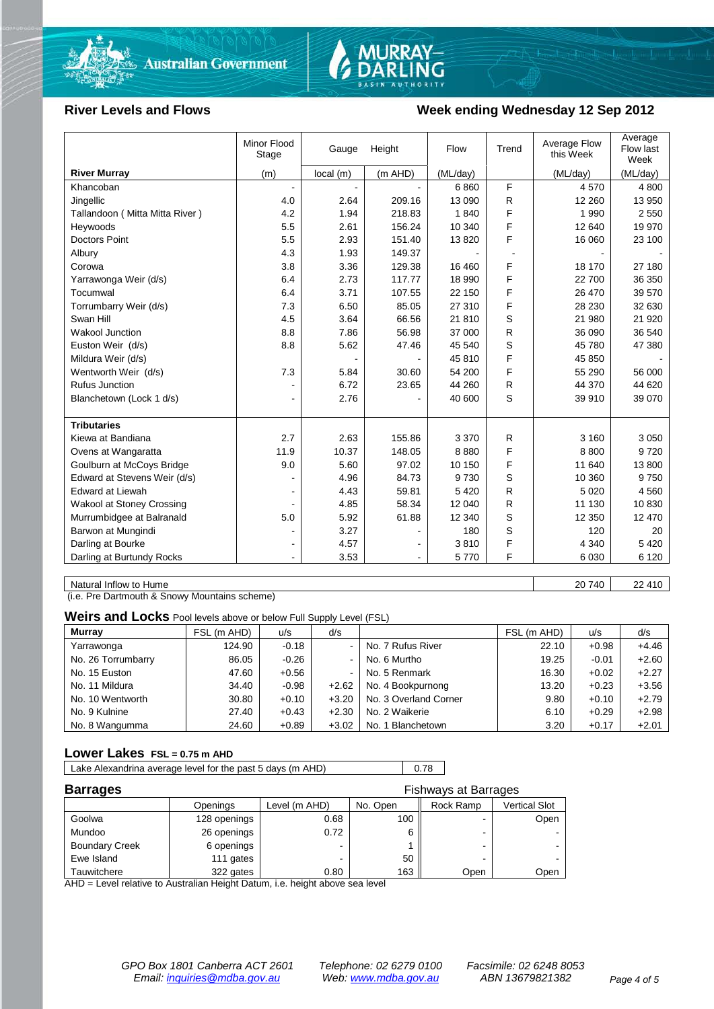

# MURRAY-<br>DARLING

### River Levels and Flows **Week ending Wednesday 12 Sep 2012**

|                                  | Minor Flood<br>Stage | Gauge    | Height  | Flow     | Trend | Average Flow<br>this Week | Average<br>Flow last<br>Week |
|----------------------------------|----------------------|----------|---------|----------|-------|---------------------------|------------------------------|
| <b>River Murray</b>              | (m)                  | local(m) | (m AHD) | (ML/day) |       | (ML/day)                  | (ML/day)                     |
| Khancoban                        |                      |          |         | 6860     | F     | 4 5 7 0                   | 4 800                        |
| Jingellic                        | 4.0                  | 2.64     | 209.16  | 13 090   | R     | 12 260                    | 13 950                       |
| Tallandoon (Mitta Mitta River)   | 4.2                  | 1.94     | 218.83  | 1840     | F     | 1 9 9 0                   | 2 5 5 0                      |
| Heywoods                         | 5.5                  | 2.61     | 156.24  | 10 340   | F     | 12 640                    | 19 970                       |
| <b>Doctors Point</b>             | 5.5                  | 2.93     | 151.40  | 13820    | F     | 16 060                    | 23 100                       |
| Albury                           | 4.3                  | 1.93     | 149.37  |          |       |                           |                              |
| Corowa                           | 3.8                  | 3.36     | 129.38  | 16 460   | F     | 18 170                    | 27 180                       |
| Yarrawonga Weir (d/s)            | 6.4                  | 2.73     | 117.77  | 18 990   | F     | 22 700                    | 36 350                       |
| Tocumwal                         | 6.4                  | 3.71     | 107.55  | 22 150   | F     | 26 470                    | 39 570                       |
| Torrumbarry Weir (d/s)           | 7.3                  | 6.50     | 85.05   | 27 310   | F     | 28 230                    | 32 630                       |
| Swan Hill                        | 4.5                  | 3.64     | 66.56   | 21 810   | S     | 21 980                    | 21 9 20                      |
| Wakool Junction                  | 8.8                  | 7.86     | 56.98   | 37 000   | R     | 36 090                    | 36 540                       |
| Euston Weir (d/s)                | 8.8                  | 5.62     | 47.46   | 45 540   | S     | 45 780                    | 47 380                       |
| Mildura Weir (d/s)               |                      |          |         | 45 810   | F     | 45 850                    |                              |
| Wentworth Weir (d/s)             | 7.3                  | 5.84     | 30.60   | 54 200   | F     | 55 290                    | 56 000                       |
| <b>Rufus Junction</b>            |                      | 6.72     | 23.65   | 44 260   | R     | 44 370                    | 44 620                       |
| Blanchetown (Lock 1 d/s)         |                      | 2.76     |         | 40 600   | S     | 39 910                    | 39 070                       |
|                                  |                      |          |         |          |       |                           |                              |
| <b>Tributaries</b>               |                      |          |         |          |       |                           |                              |
| Kiewa at Bandiana                | 2.7                  | 2.63     | 155.86  | 3 3 7 0  | R     | 3 1 6 0                   | 3 0 5 0                      |
| Ovens at Wangaratta              | 11.9                 | 10.37    | 148.05  | 8880     | F     | 8800                      | 9720                         |
| Goulburn at McCoys Bridge        | 9.0                  | 5.60     | 97.02   | 10 150   | F     | 11 640                    | 13 800                       |
| Edward at Stevens Weir (d/s)     |                      | 4.96     | 84.73   | 9 7 3 0  | S     | 10 360                    | 9 7 5 0                      |
| <b>Edward at Liewah</b>          |                      | 4.43     | 59.81   | 5 4 2 0  | R.    | 5 0 20                    | 4 5 6 0                      |
| <b>Wakool at Stoney Crossing</b> |                      | 4.85     | 58.34   | 12 040   | R     | 11 130                    | 10 830                       |
| Murrumbidgee at Balranald        | 5.0                  | 5.92     | 61.88   | 12 340   | S     | 12 350                    | 12 470                       |
| Barwon at Mungindi               |                      | 3.27     |         | 180      | S     | 120                       | 20                           |
| Darling at Bourke                | $\blacksquare$       | 4.57     |         | 3810     | F     | 4 3 4 0                   | 5 4 2 0                      |
| Darling at Burtundy Rocks        |                      | 3.53     |         | 5770     | F     | 6 0 30                    | 6 1 2 0                      |

Natural Inflow to Hume 22 410

(i.e. Pre Dartmouth & Snowy Mountains scheme)

**Weirs and Locks** Pool levels above or below Full Supply Level (FSL)

| <b>Murray</b>      | FSL (m AHD) | u/s     | d/s            |                       | FSL (m AHD) | u/s     | d/s     |
|--------------------|-------------|---------|----------------|-----------------------|-------------|---------|---------|
| Yarrawonga         | 124.90      | $-0.18$ | $\,$           | No. 7 Rufus River     | 22.10       | $+0.98$ | $+4.46$ |
| No. 26 Torrumbarry | 86.05       | $-0.26$ | $\,$           | No. 6 Murtho          | 19.25       | $-0.01$ | $+2.60$ |
| No. 15 Euston      | 47.60       | $+0.56$ | $\blacksquare$ | No. 5 Renmark         | 16.30       | $+0.02$ | $+2.27$ |
| No. 11 Mildura     | 34.40       | $-0.98$ | $+2.62$        | No. 4 Bookpurnong     | 13.20       | $+0.23$ | $+3.56$ |
| No. 10 Wentworth   | 30.80       | $+0.10$ | $+3.20$        | No. 3 Overland Corner | 9.80        | $+0.10$ | $+2.79$ |
| No. 9 Kulnine      | 27.40       | $+0.43$ | $+2.30$        | No. 2 Waikerie        | 6.10        | $+0.29$ | $+2.98$ |
| No. 8 Wangumma     | 24.60       | $+0.89$ | $+3.02$        | No. 1 Blanchetown     | 3.20        | $+0.17$ | $+2.01$ |

### **Lower Lakes FSL = 0.75 m AHD**

Lake Alexandrina average level for the past 5 days (m AHD) 0.78

| <b>Barrages</b>       | <b>Fishways at Barrages</b> |               |          |                          |               |
|-----------------------|-----------------------------|---------------|----------|--------------------------|---------------|
|                       | Openings                    | Level (m AHD) | No. Open | Rock Ramp                | Vertical Slot |
| Goolwa                | 128 openings                | 0.68          | 100      | -                        | Open          |
| Mundoo                | 26 openings                 | 0.72          |          | -                        |               |
| <b>Boundary Creek</b> | 6 openings                  |               |          | $\overline{\phantom{0}}$ |               |
| Ewe Island            | 111 gates                   |               | 50       |                          |               |
| Tauwitchere           | 322 gates                   | 0.80          | 163      | Open                     | Open          |

AHD = Level relative to Australian Height Datum, i.e. height above sea level